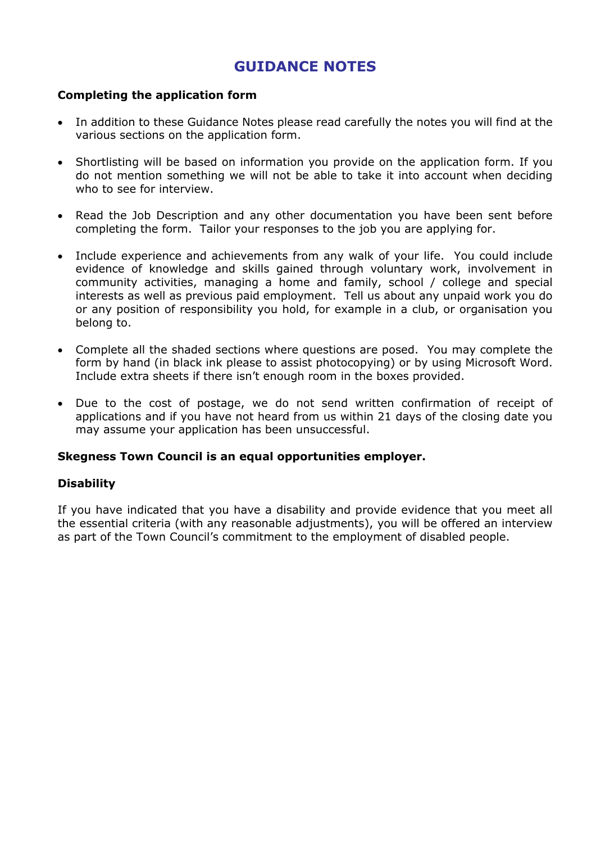## **GUIDANCE NOTES**

#### **Completing the application form**

- In addition to these Guidance Notes please read carefully the notes you will find at the various sections on the application form.
- Shortlisting will be based on information you provide on the application form. If you do not mention something we will not be able to take it into account when deciding who to see for interview.
- Read the Job Description and any other documentation you have been sent before completing the form. Tailor your responses to the job you are applying for.
- Include experience and achievements from any walk of your life. You could include evidence of knowledge and skills gained through voluntary work, involvement in community activities, managing a home and family, school / college and special interests as well as previous paid employment. Tell us about any unpaid work you do or any position of responsibility you hold, for example in a club, or organisation you belong to.
- Complete all the shaded sections where questions are posed. You may complete the form by hand (in black ink please to assist photocopying) or by using Microsoft Word. Include extra sheets if there isn't enough room in the boxes provided.
- Due to the cost of postage, we do not send written confirmation of receipt of applications and if you have not heard from us within 21 days of the closing date you may assume your application has been unsuccessful.

#### **Skegness Town Council is an equal opportunities employer.**

#### **Disability**

If you have indicated that you have a disability and provide evidence that you meet all the essential criteria (with any reasonable adjustments), you will be offered an interview as part of the Town Council's commitment to the employment of disabled people.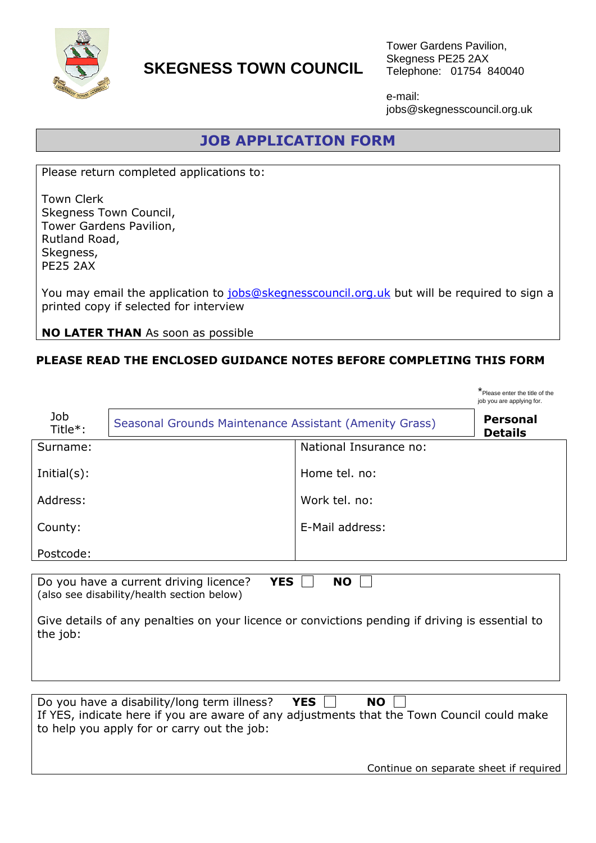

# **SKEGNESS TOWN COUNCIL**

Tower Gardens Pavilion, Skegness PE25 2AX Telephone: 01754 840040

e-mail: jobs@skegnesscouncil.org.uk

## **JOB APPLICATION FORM**

Please return completed applications to:

Town Clerk Skegness Town Council, Tower Gardens Pavilion, Rutland Road, Skegness, PE25 2AX

You may email the application to [jobs@skegnesscouncil.org.uk](mailto:jobs@skegnesscouncil.org.uk) but will be required to sign a printed copy if selected for interview

**NO LATER THAN** As soon as possible

### **PLEASE READ THE ENCLOSED GUIDANCE NOTES BEFORE COMPLETING THIS FORM**

|                                                                                                                                                                                                                                                               |                                                        |                        | * Please enter the title of the<br>job you are applying for. |  |  |  |
|---------------------------------------------------------------------------------------------------------------------------------------------------------------------------------------------------------------------------------------------------------------|--------------------------------------------------------|------------------------|--------------------------------------------------------------|--|--|--|
| Job<br>Title*:                                                                                                                                                                                                                                                | Seasonal Grounds Maintenance Assistant (Amenity Grass) |                        | <b>Personal</b><br><b>Details</b>                            |  |  |  |
| Surname:                                                                                                                                                                                                                                                      |                                                        | National Insurance no: |                                                              |  |  |  |
| $Initial(s)$ :                                                                                                                                                                                                                                                |                                                        | Home tel. no:          |                                                              |  |  |  |
| Address:                                                                                                                                                                                                                                                      |                                                        | Work tel. no:          |                                                              |  |  |  |
| County:                                                                                                                                                                                                                                                       |                                                        | E-Mail address:        |                                                              |  |  |  |
| Postcode:                                                                                                                                                                                                                                                     |                                                        |                        |                                                              |  |  |  |
| Do you have a current driving licence?<br><b>YES</b><br><b>NO</b><br>(also see disability/health section below)<br>Give details of any penalties on your licence or convictions pending if driving is essential to<br>the job:                                |                                                        |                        |                                                              |  |  |  |
| Do you have a disability/long term illness?<br><b>YES</b><br><b>NO</b><br>If YES, indicate here if you are aware of any adjustments that the Town Council could make<br>to help you apply for or carry out the job:<br>Continue on separate sheet if required |                                                        |                        |                                                              |  |  |  |
|                                                                                                                                                                                                                                                               |                                                        |                        |                                                              |  |  |  |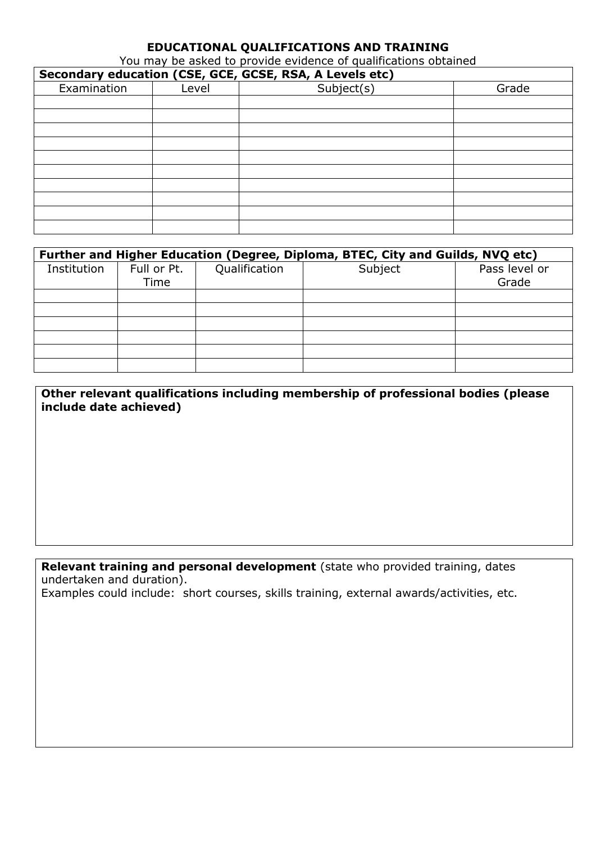#### **EDUCATIONAL QUALIFICATIONS AND TRAINING**

You may be asked to provide evidence of qualifications obtained

| Secondary education (CSE, GCE, GCSE, RSA, A Levels etc) |       |            |       |  |  |  |  |
|---------------------------------------------------------|-------|------------|-------|--|--|--|--|
| Examination                                             | Level | Subject(s) | Grade |  |  |  |  |
|                                                         |       |            |       |  |  |  |  |
|                                                         |       |            |       |  |  |  |  |
|                                                         |       |            |       |  |  |  |  |
|                                                         |       |            |       |  |  |  |  |
|                                                         |       |            |       |  |  |  |  |
|                                                         |       |            |       |  |  |  |  |
|                                                         |       |            |       |  |  |  |  |
|                                                         |       |            |       |  |  |  |  |
|                                                         |       |            |       |  |  |  |  |
|                                                         |       |            |       |  |  |  |  |

| Further and Higher Education (Degree, Diploma, BTEC, City and Guilds, NVQ etc) |             |               |         |               |  |  |  |  |
|--------------------------------------------------------------------------------|-------------|---------------|---------|---------------|--|--|--|--|
| Institution                                                                    | Full or Pt. | Qualification | Subject | Pass level or |  |  |  |  |
|                                                                                | Time        |               |         | Grade         |  |  |  |  |
|                                                                                |             |               |         |               |  |  |  |  |
|                                                                                |             |               |         |               |  |  |  |  |
|                                                                                |             |               |         |               |  |  |  |  |
|                                                                                |             |               |         |               |  |  |  |  |
|                                                                                |             |               |         |               |  |  |  |  |
|                                                                                |             |               |         |               |  |  |  |  |

**Other relevant qualifications including membership of professional bodies (please include date achieved)**

**Relevant training and personal development** (state who provided training, dates undertaken and duration).

Examples could include: short courses, skills training, external awards/activities, etc.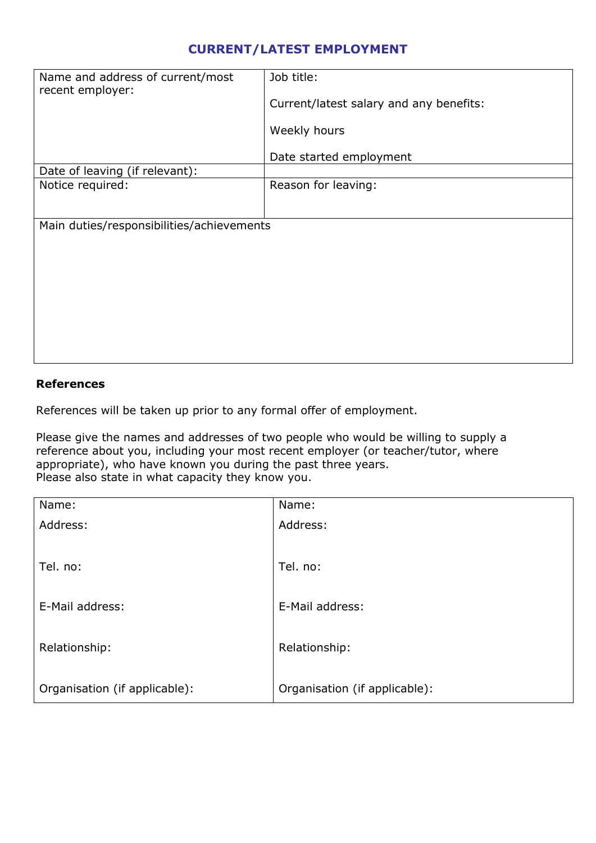### **CURRENT/LATEST EMPLOYMENT**

| Name and address of current/most<br>recent employer: | Job title:<br>Current/latest salary and any benefits:<br>Weekly hours |  |  |  |  |
|------------------------------------------------------|-----------------------------------------------------------------------|--|--|--|--|
|                                                      | Date started employment                                               |  |  |  |  |
| Date of leaving (if relevant):                       |                                                                       |  |  |  |  |
| Notice required:                                     | Reason for leaving:                                                   |  |  |  |  |
| Main duties/responsibilities/achievements            |                                                                       |  |  |  |  |
|                                                      |                                                                       |  |  |  |  |
|                                                      |                                                                       |  |  |  |  |
|                                                      |                                                                       |  |  |  |  |
|                                                      |                                                                       |  |  |  |  |
|                                                      |                                                                       |  |  |  |  |

#### **References**

References will be taken up prior to any formal offer of employment.

Please give the names and addresses of two people who would be willing to supply a reference about you, including your most recent employer (or teacher/tutor, where appropriate), who have known you during the past three years. Please also state in what capacity they know you.

| Name:                         | Name:                         |
|-------------------------------|-------------------------------|
| Address:                      | Address:                      |
|                               |                               |
| Tel. no:                      | Tel. no:                      |
|                               |                               |
| E-Mail address:               | E-Mail address:               |
|                               |                               |
| Relationship:                 | Relationship:                 |
|                               |                               |
| Organisation (if applicable): | Organisation (if applicable): |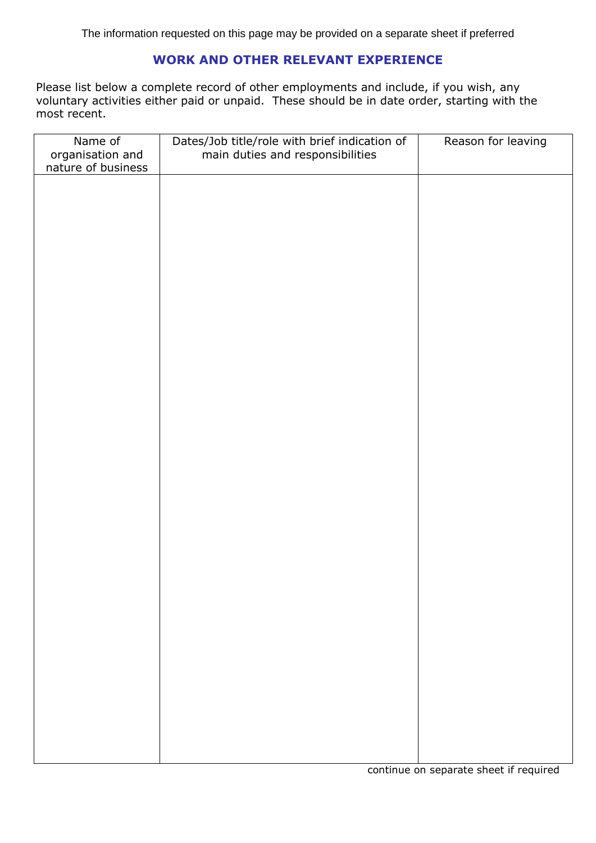#### **WORK AND OTHER RELEVANT EXPERIENCE**

Please list below a complete record of other employments and include, if you wish, any voluntary activities either paid or unpaid. These should be in date order, starting with the most recent.

| Name of                                | Dates/Job title/role with brief indication of<br>main duties and responsibilities | Reason for leaving |
|----------------------------------------|-----------------------------------------------------------------------------------|--------------------|
| organisation and<br>nature of business |                                                                                   |                    |
|                                        |                                                                                   |                    |
|                                        |                                                                                   |                    |
|                                        |                                                                                   |                    |
|                                        |                                                                                   |                    |
|                                        |                                                                                   |                    |
|                                        |                                                                                   |                    |
|                                        |                                                                                   |                    |
|                                        |                                                                                   |                    |
|                                        |                                                                                   |                    |
|                                        |                                                                                   |                    |
|                                        |                                                                                   |                    |
|                                        |                                                                                   |                    |
|                                        |                                                                                   |                    |
|                                        |                                                                                   |                    |
|                                        |                                                                                   |                    |
|                                        |                                                                                   |                    |
|                                        |                                                                                   |                    |
|                                        |                                                                                   |                    |
|                                        |                                                                                   |                    |
|                                        |                                                                                   |                    |
|                                        |                                                                                   |                    |
|                                        |                                                                                   |                    |
|                                        |                                                                                   |                    |
|                                        |                                                                                   |                    |
|                                        |                                                                                   |                    |
|                                        |                                                                                   |                    |
|                                        |                                                                                   |                    |
|                                        |                                                                                   |                    |
|                                        |                                                                                   |                    |
|                                        |                                                                                   |                    |
|                                        |                                                                                   |                    |
|                                        |                                                                                   |                    |
|                                        |                                                                                   |                    |
|                                        |                                                                                   |                    |
|                                        |                                                                                   |                    |
|                                        |                                                                                   |                    |
|                                        |                                                                                   |                    |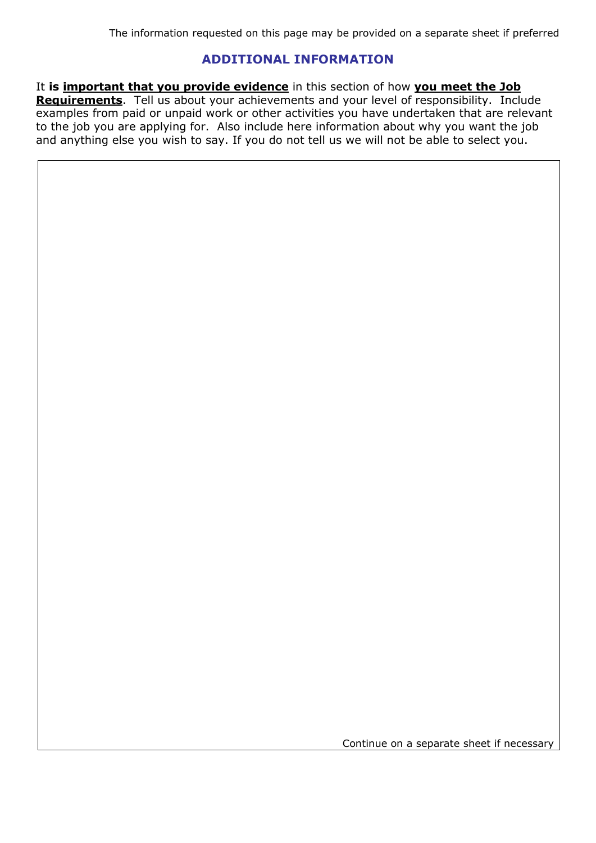#### **ADDITIONAL INFORMATION**

It **is important that you provide evidence** in this section of how **you meet the Job Requirements**. Tell us about your achievements and your level of responsibility. Include examples from paid or unpaid work or other activities you have undertaken that are relevant to the job you are applying for. Also include here information about why you want the job and anything else you wish to say. If you do not tell us we will not be able to select you.

Continue on a separate sheet if necessary